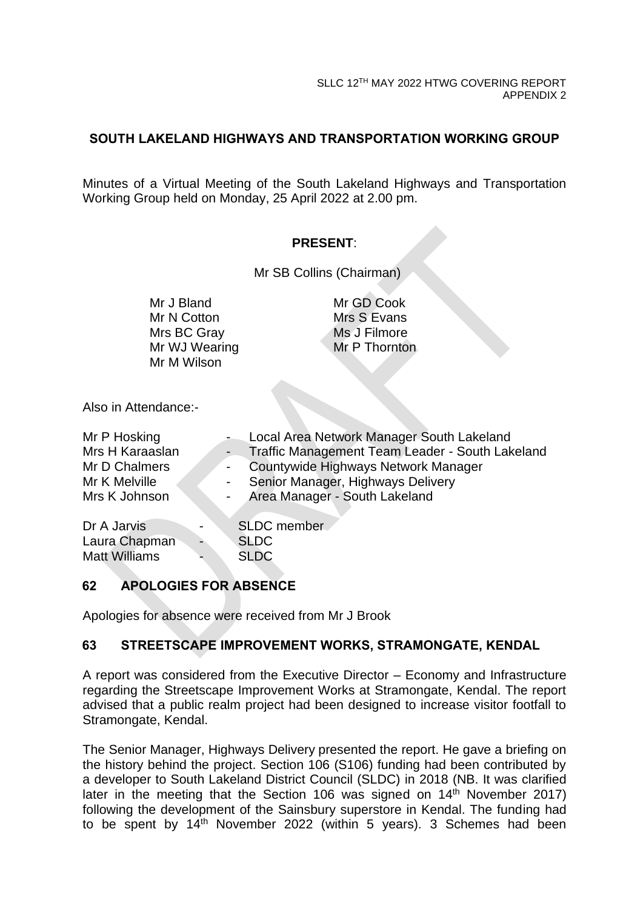## **SOUTH LAKELAND HIGHWAYS AND TRANSPORTATION WORKING GROUP**

Minutes of a Virtual Meeting of the South Lakeland Highways and Transportation Working Group held on Monday, 25 April 2022 at 2.00 pm.

#### **PRESENT**:

Mr SB Collins (Chairman)

Mr J Bland Mr N Cotton Mrs BC Gray Mr WJ Wearing Mr M Wilson

Mr GD Cook Mrs S Evans Ms J Filmore Mr P Thornton

Also in Attendance:-

| Mr P Hosking         | Local Area Network Manager South Lakeland       |
|----------------------|-------------------------------------------------|
| Mrs H Karaaslan      | Traffic Management Team Leader - South Lakeland |
| Mr D Chalmers        | Countywide Highways Network Manager             |
| Mr K Melville        | Senior Manager, Highways Delivery               |
| Mrs K Johnson        | Area Manager - South Lakeland                   |
| Dr A Jarvis          | <b>SLDC</b> member                              |
| Laura Chapman        | <b>SLDC</b>                                     |
| <b>Matt Williams</b> | <b>SLDC</b>                                     |

## **62 APOLOGIES FOR ABSENCE**

Apologies for absence were received from Mr J Brook

## **63 STREETSCAPE IMPROVEMENT WORKS, STRAMONGATE, KENDAL**

A report was considered from the Executive Director – Economy and Infrastructure regarding the Streetscape Improvement Works at Stramongate, Kendal. The report advised that a public realm project had been designed to increase visitor footfall to Stramongate, Kendal.

The Senior Manager, Highways Delivery presented the report. He gave a briefing on the history behind the project. Section 106 (S106) funding had been contributed by a developer to South Lakeland District Council (SLDC) in 2018 (NB. It was clarified later in the meeting that the Section 106 was signed on 14<sup>th</sup> November 2017) following the development of the Sainsbury superstore in Kendal. The funding had to be spent by 14th November 2022 (within 5 years). 3 Schemes had been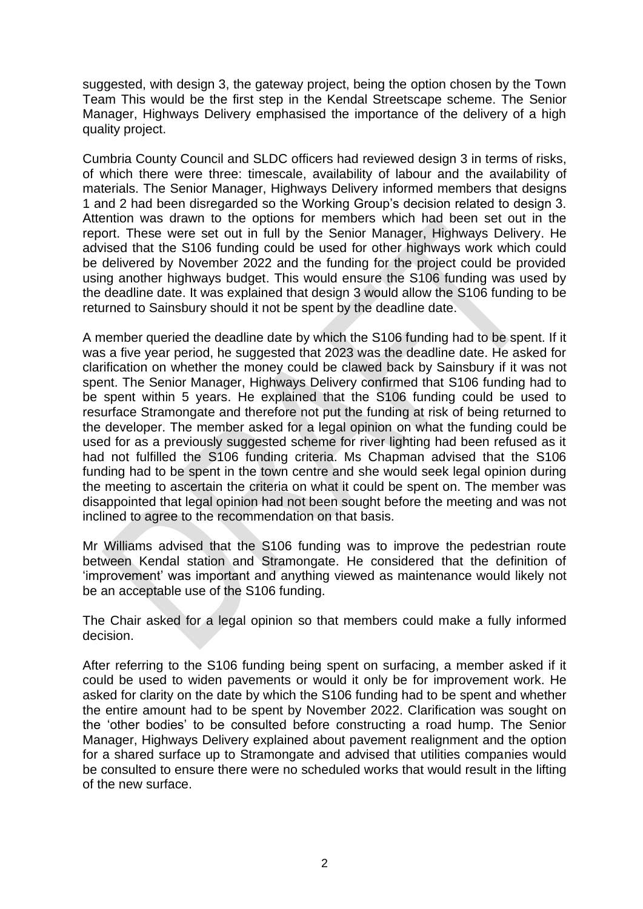suggested, with design 3, the gateway project, being the option chosen by the Town Team This would be the first step in the Kendal Streetscape scheme. The Senior Manager, Highways Delivery emphasised the importance of the delivery of a high quality project.

Cumbria County Council and SLDC officers had reviewed design 3 in terms of risks, of which there were three: timescale, availability of labour and the availability of materials. The Senior Manager, Highways Delivery informed members that designs 1 and 2 had been disregarded so the Working Group's decision related to design 3. Attention was drawn to the options for members which had been set out in the report. These were set out in full by the Senior Manager, Highways Delivery. He advised that the S106 funding could be used for other highways work which could be delivered by November 2022 and the funding for the project could be provided using another highways budget. This would ensure the S106 funding was used by the deadline date. It was explained that design 3 would allow the S106 funding to be returned to Sainsbury should it not be spent by the deadline date.

A member queried the deadline date by which the S106 funding had to be spent. If it was a five year period, he suggested that 2023 was the deadline date. He asked for clarification on whether the money could be clawed back by Sainsbury if it was not spent. The Senior Manager, Highways Delivery confirmed that S106 funding had to be spent within 5 years. He explained that the S106 funding could be used to resurface Stramongate and therefore not put the funding at risk of being returned to the developer. The member asked for a legal opinion on what the funding could be used for as a previously suggested scheme for river lighting had been refused as it had not fulfilled the S106 funding criteria. Ms Chapman advised that the S106 funding had to be spent in the town centre and she would seek legal opinion during the meeting to ascertain the criteria on what it could be spent on. The member was disappointed that legal opinion had not been sought before the meeting and was not inclined to agree to the recommendation on that basis.

Mr Williams advised that the S106 funding was to improve the pedestrian route between Kendal station and Stramongate. He considered that the definition of 'improvement' was important and anything viewed as maintenance would likely not be an acceptable use of the S106 funding.

The Chair asked for a legal opinion so that members could make a fully informed decision.

After referring to the S106 funding being spent on surfacing, a member asked if it could be used to widen pavements or would it only be for improvement work. He asked for clarity on the date by which the S106 funding had to be spent and whether the entire amount had to be spent by November 2022. Clarification was sought on the 'other bodies' to be consulted before constructing a road hump. The Senior Manager, Highways Delivery explained about pavement realignment and the option for a shared surface up to Stramongate and advised that utilities companies would be consulted to ensure there were no scheduled works that would result in the lifting of the new surface.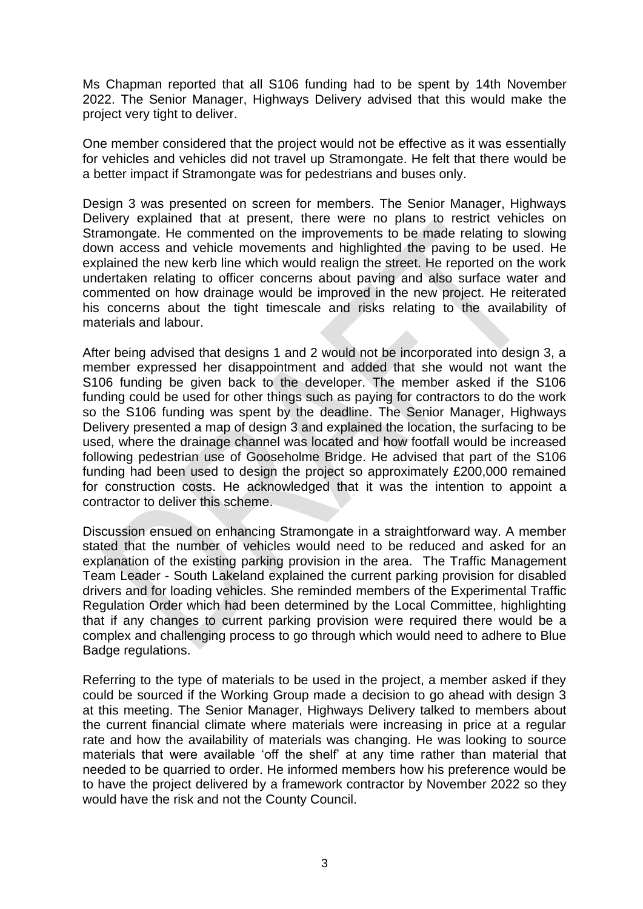Ms Chapman reported that all S106 funding had to be spent by 14th November 2022. The Senior Manager, Highways Delivery advised that this would make the project very tight to deliver.

One member considered that the project would not be effective as it was essentially for vehicles and vehicles did not travel up Stramongate. He felt that there would be a better impact if Stramongate was for pedestrians and buses only.

Design 3 was presented on screen for members. The Senior Manager, Highways Delivery explained that at present, there were no plans to restrict vehicles on Stramongate. He commented on the improvements to be made relating to slowing down access and vehicle movements and highlighted the paving to be used. He explained the new kerb line which would realign the street. He reported on the work undertaken relating to officer concerns about paving and also surface water and commented on how drainage would be improved in the new project. He reiterated his concerns about the tight timescale and risks relating to the availability of materials and labour.

After being advised that designs 1 and 2 would not be incorporated into design 3, a member expressed her disappointment and added that she would not want the S106 funding be given back to the developer. The member asked if the S106 funding could be used for other things such as paying for contractors to do the work so the S106 funding was spent by the deadline. The Senior Manager, Highways Delivery presented a map of design 3 and explained the location, the surfacing to be used, where the drainage channel was located and how footfall would be increased following pedestrian use of Gooseholme Bridge. He advised that part of the S106 funding had been used to design the project so approximately £200,000 remained for construction costs. He acknowledged that it was the intention to appoint a contractor to deliver this scheme.

Discussion ensued on enhancing Stramongate in a straightforward way. A member stated that the number of vehicles would need to be reduced and asked for an explanation of the existing parking provision in the area. The Traffic Management Team Leader - South Lakeland explained the current parking provision for disabled drivers and for loading vehicles. She reminded members of the Experimental Traffic Regulation Order which had been determined by the Local Committee, highlighting that if any changes to current parking provision were required there would be a complex and challenging process to go through which would need to adhere to Blue Badge regulations.

Referring to the type of materials to be used in the project, a member asked if they could be sourced if the Working Group made a decision to go ahead with design 3 at this meeting. The Senior Manager, Highways Delivery talked to members about the current financial climate where materials were increasing in price at a regular rate and how the availability of materials was changing. He was looking to source materials that were available 'off the shelf' at any time rather than material that needed to be quarried to order. He informed members how his preference would be to have the project delivered by a framework contractor by November 2022 so they would have the risk and not the County Council.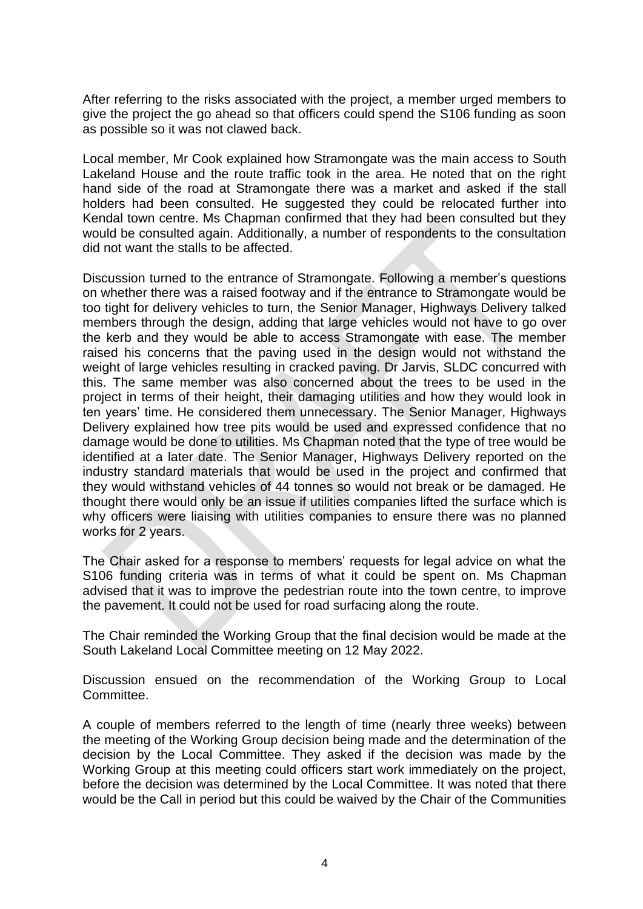After referring to the risks associated with the project, a member urged members to give the project the go ahead so that officers could spend the S106 funding as soon as possible so it was not clawed back.

Local member, Mr Cook explained how Stramongate was the main access to South Lakeland House and the route traffic took in the area. He noted that on the right hand side of the road at Stramongate there was a market and asked if the stall holders had been consulted. He suggested they could be relocated further into Kendal town centre. Ms Chapman confirmed that they had been consulted but they would be consulted again. Additionally, a number of respondents to the consultation did not want the stalls to be affected.

Discussion turned to the entrance of Stramongate. Following a member's questions on whether there was a raised footway and if the entrance to Stramongate would be too tight for delivery vehicles to turn, the Senior Manager, Highways Delivery talked members through the design, adding that large vehicles would not have to go over the kerb and they would be able to access Stramongate with ease. The member raised his concerns that the paving used in the design would not withstand the weight of large vehicles resulting in cracked paving. Dr Jarvis, SLDC concurred with this. The same member was also concerned about the trees to be used in the project in terms of their height, their damaging utilities and how they would look in ten years' time. He considered them unnecessary. The Senior Manager, Highways Delivery explained how tree pits would be used and expressed confidence that no damage would be done to utilities. Ms Chapman noted that the type of tree would be identified at a later date. The Senior Manager, Highways Delivery reported on the industry standard materials that would be used in the project and confirmed that they would withstand vehicles of 44 tonnes so would not break or be damaged. He thought there would only be an issue if utilities companies lifted the surface which is why officers were liaising with utilities companies to ensure there was no planned works for 2 years.

The Chair asked for a response to members' requests for legal advice on what the S106 funding criteria was in terms of what it could be spent on. Ms Chapman advised that it was to improve the pedestrian route into the town centre, to improve the pavement. It could not be used for road surfacing along the route.

The Chair reminded the Working Group that the final decision would be made at the South Lakeland Local Committee meeting on 12 May 2022.

Discussion ensued on the recommendation of the Working Group to Local **Committee.** 

A couple of members referred to the length of time (nearly three weeks) between the meeting of the Working Group decision being made and the determination of the decision by the Local Committee. They asked if the decision was made by the Working Group at this meeting could officers start work immediately on the project, before the decision was determined by the Local Committee. It was noted that there would be the Call in period but this could be waived by the Chair of the Communities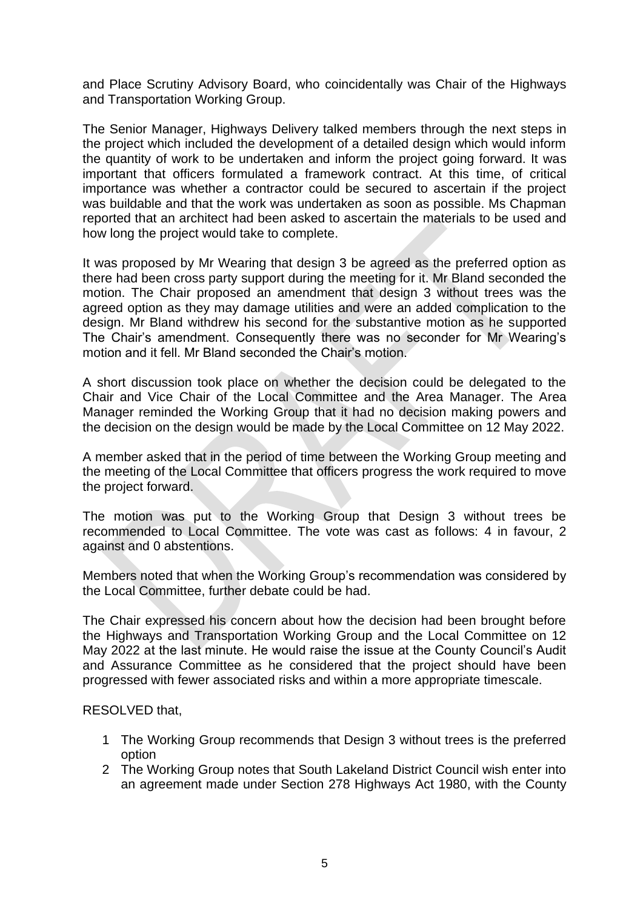and Place Scrutiny Advisory Board, who coincidentally was Chair of the Highways and Transportation Working Group.

The Senior Manager, Highways Delivery talked members through the next steps in the project which included the development of a detailed design which would inform the quantity of work to be undertaken and inform the project going forward. It was important that officers formulated a framework contract. At this time, of critical importance was whether a contractor could be secured to ascertain if the project was buildable and that the work was undertaken as soon as possible. Ms Chapman reported that an architect had been asked to ascertain the materials to be used and how long the project would take to complete.

It was proposed by Mr Wearing that design 3 be agreed as the preferred option as there had been cross party support during the meeting for it. Mr Bland seconded the motion. The Chair proposed an amendment that design 3 without trees was the agreed option as they may damage utilities and were an added complication to the design. Mr Bland withdrew his second for the substantive motion as he supported The Chair's amendment. Consequently there was no seconder for Mr Wearing's motion and it fell. Mr Bland seconded the Chair's motion.

A short discussion took place on whether the decision could be delegated to the Chair and Vice Chair of the Local Committee and the Area Manager. The Area Manager reminded the Working Group that it had no decision making powers and the decision on the design would be made by the Local Committee on 12 May 2022.

A member asked that in the period of time between the Working Group meeting and the meeting of the Local Committee that officers progress the work required to move the project forward.

The motion was put to the Working Group that Design 3 without trees be recommended to Local Committee. The vote was cast as follows: 4 in favour, 2 against and 0 abstentions.

Members noted that when the Working Group's recommendation was considered by the Local Committee, further debate could be had.

The Chair expressed his concern about how the decision had been brought before the Highways and Transportation Working Group and the Local Committee on 12 May 2022 at the last minute. He would raise the issue at the County Council's Audit and Assurance Committee as he considered that the project should have been progressed with fewer associated risks and within a more appropriate timescale.

#### RESOLVED that,

- 1 The Working Group recommends that Design 3 without trees is the preferred option
- 2 The Working Group notes that South Lakeland District Council wish enter into an agreement made under Section 278 Highways Act 1980, with the County